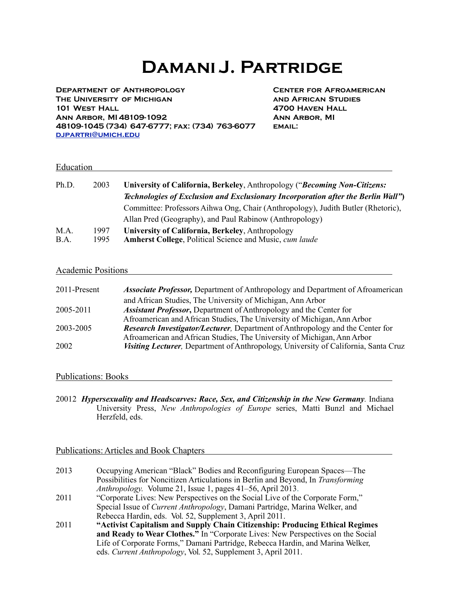**Department of Anthropology Center for Afroamerican The University of Michigan and African Studies 101 West Hall 4700 Haven Hall Ann Arbor, MI 48109-1092 Ann Arbor, MI 48109-1045 (734) 647-6777; fax: (734) 763-6077 email: [djpartri@umich.edu](mailto:djpartri@umich.edu)**

#### Education **Exercise Education**

| Ph.D. | 2003 | University of California, Berkeley, Anthropology ("Becoming Non-Citizens:        |
|-------|------|----------------------------------------------------------------------------------|
|       |      | Technologies of Exclusion and Exclusionary Incorporation after the Berlin Wall") |
|       |      | Committee: Professors Aihwa Ong, Chair (Anthropology), Judith Butler (Rhetoric), |
|       |      | Allan Pred (Geography), and Paul Rabinow (Anthropology)                          |
| M.A.  | 1997 | University of California, Berkeley, Anthropology                                 |
| B.A.  | 1995 | <b>Amherst College, Political Science and Music, cum laude</b>                   |

#### Academic Positions

| 2011-Present | <i>Associate Professor,</i> Department of Anthropology and Department of Afroamerican |
|--------------|---------------------------------------------------------------------------------------|
|              | and African Studies, The University of Michigan, Ann Arbor                            |
| 2005-2011    | <b>Assistant Professor, Department of Anthropology and the Center for</b>             |
|              | Afroamerican and African Studies, The University of Michigan, Ann Arbor               |
| 2003-2005    | <b>Research Investigator/Lecturer, Department of Anthropology and the Center for</b>  |
|              | Afroamerican and African Studies, The University of Michigan, Ann Arbor               |
| 2002         | Visiting Lecturer, Department of Anthropology, University of California, Santa Cruz   |

#### Publications: Books

20012 *Hypersexuality and Headscarves: Race, Sex, and Citizenship in the New Germany.* Indiana University Press, *New Anthropologies of Europe* series, Matti Bunzl and Michael Herzfeld, eds.

#### Publications:Articles and Book Chapters

| 2013 | Occupying American "Black" Bodies and Reconfiguring European Spaces—The          |
|------|----------------------------------------------------------------------------------|
|      | Possibilities for Noncitizen Articulations in Berlin and Beyond, In Transforming |
|      | <i>Anthropology.</i> Volume 21, Issue 1, pages 41–56, April 2013.                |
| 2011 | "Corporate Lives: New Perspectives on the Social Live of the Corporate Form,"    |
|      | Special Issue of Current Anthropology, Damani Partridge, Marina Welker, and      |
|      | Rebecca Hardin, eds. Vol. 52, Supplement 3, April 2011.                          |
| 2011 | "Activist Capitalism and Supply Chain Citizenship: Producing Ethical Regimes     |
|      | and Ready to Wear Clothes." In "Corporate Lives: New Perspectives on the Social  |
|      | Life of Corporate Forms," Damani Partridge, Rebecca Hardin, and Marina Welker,   |
|      | eds. Current Anthropology, Vol. 52, Supplement 3, April 2011.                    |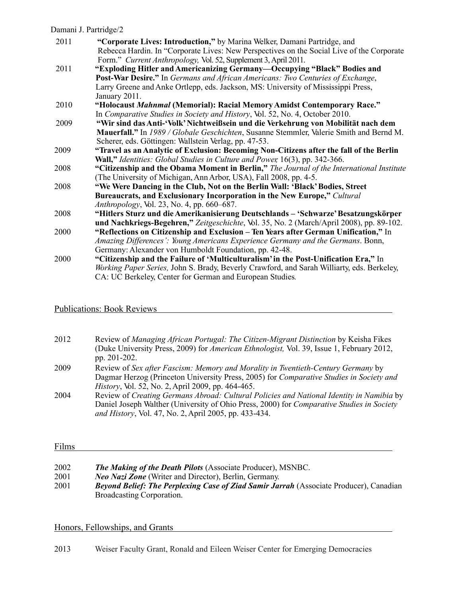| 2011 | "Corporate Lives: Introduction," by Marina Welker, Damani Partridge, and                   |
|------|--------------------------------------------------------------------------------------------|
|      | Rebecca Hardin. In "Corporate Lives: New Perspectives on the Social Live of the Corporate  |
|      | Form." Current Anthropology, Vol. 52, Supplement 3, April 2011.                            |
| 2011 | "Exploding Hitler and Americanizing Germany—Occupying "Black" Bodies and                   |
|      | <b>Post-War Desire."</b> In Germans and African Americans: Two Centuries of Exchange,      |
|      | Larry Greene and Anke Ortlepp, eds. Jackson, MS: University of Mississippi Press,          |
|      | January 2011.                                                                              |
| 2010 | "Holocaust Mahnmal (Memorial): Racial Memory Amidst Contemporary Race."                    |
|      | In Comparative Studies in Society and History, Vol. 52, No. 4, October 2010.               |
| 2009 | "Wir sind das Anti-'Volk' Nichtweißsein und die Verkehrung von Mobilität nach dem          |
|      | Mauerfall." In 1989 / Globale Geschichten, Susanne Stemmler, Valerie Smith and Bernd M.    |
|      | Scherer, eds. Göttingen: Wallstein Verlag, pp. 47-53.                                      |
| 2009 | "Travel as an Analytic of Exclusion: Becoming Non-Citizens after the fall of the Berlin    |
|      | Wall," Identities: Global Studies in Culture and Power, 16(3), pp. 342-366.                |
| 2008 | "Citizenship and the Obama Moment in Berlin," The Journal of the International Institute   |
|      | (The University of Michigan, Ann Arbor, USA), Fall 2008, pp. 4-5.                          |
| 2008 | "We Were Dancing in the Club, Not on the Berlin Wall: 'Black' Bodies, Street               |
|      | Bureaucrats, and Exclusionary Incorporation in the New Europe," Cultural                   |
|      | Anthropology, Vol. 23, No. 4, pp. 660–687.                                                 |
| 2008 | "Hitlers Sturz und die Amerikanisierung Deutschlands – 'Schwarze' Besatzungskörper         |
|      | und Nachkriegs-Begehren," Zeitgeschichte, Vol. 35, No. 2 (March/April 2008), pp. 89-102.   |
| 2000 | "Reflections on Citizenship and Exclusion – Ten Years after German Unification," In        |
|      | Amazing Differences': Young Americans Experience Germany and the Germans. Bonn,            |
|      | Germany: Alexander von Humboldt Foundation, pp. 42-48.                                     |
| 2000 | "Citizenship and the Failure of 'Multiculturalism' in the Post-Unification Era," In        |
|      | Working Paper Series, John S. Brady, Beverly Crawford, and Sarah Williarty, eds. Berkeley, |
|      | CA: UC Berkeley, Center for German and European Studies.                                   |

# Publications: Book Reviews

| 2012 | Review of Managing African Portugal: The Citizen-Migrant Distinction by Keisha Fikes<br>(Duke University Press, 2009) for American Ethnologist, Vol. 39, Issue 1, February 2012,<br>pp. 201-202. |
|------|--------------------------------------------------------------------------------------------------------------------------------------------------------------------------------------------------|
| 2009 | Review of Sex after Fascism: Memory and Morality in Twentieth-Century Germany by<br>Dagmar Herzog (Princeton University Press, 2005) for Comparative Studies in Society and                      |
|      | <i>History</i> , <i>Vol.</i> 52, <i>No.</i> 2, <i>April</i> 2009, <i>pp.</i> 464-465.                                                                                                            |
| 2004 | Review of Creating Germans Abroad: Cultural Policies and National Identity in Namibia by                                                                                                         |
|      | Daniel Joseph Walther (University of Ohio Press, 2000) for <i>Comparative Studies in Society</i>                                                                                                 |
|      | and History, Vol. 47, No. 2, April 2005, pp. 433-434.                                                                                                                                            |

### Films

| 2002 | <b>The Making of the Death Pilots (Associate Producer), MSNBC.</b>                            |
|------|-----------------------------------------------------------------------------------------------|
| 2001 | <i>Neo Nazi Zone</i> (Writer and Director), Berlin, Germany.                                  |
| 2001 | <b>Beyond Belief: The Perplexing Case of Ziad Samir Jarrah (Associate Producer), Canadian</b> |
|      | Broadcasting Corporation.                                                                     |

# Honors, Fellowships, and Grants

2013 Weiser Faculty Grant, Ronald and Eileen Weiser Center for Emerging Democracies

<u> 1980 - Johann Barbara, martxa alemaniar argumento este alemaniar alemaniar alemaniar alemaniar alemaniar al</u>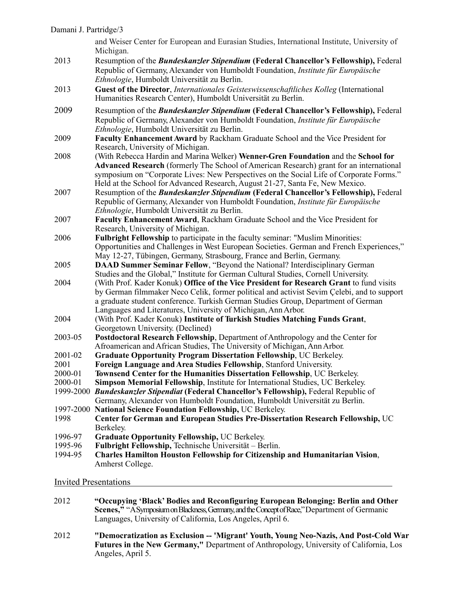and Weiser Center for European and Eurasian Studies, International Institute, University of Michigan.

- 2013 Resumption of the *Bundeskanzler Stipendium* **(Federal Chancellor's Fellowship),** Federal Republic of Germany,Alexander von Humboldt Foundation, *Institute für Europäische Ethnologie*, Humboldt Universität zu Berlin.
- 2013 **Guest of the Director**, *Internationales Geisteswissenschaftliches Kolleg* (International Humanities Research Center), Humboldt Universität zu Berlin.
- 2009 Resumption of the *Bundeskanzler Stipendium* **(Federal Chancellor's Fellowship),** Federal Republic of Germany,Alexander von Humboldt Foundation, *Institute für Europäische Ethnologie*, Humboldt Universität zu Berlin.
- 2009 **Faculty EnhancementAward** by Rackham Graduate School and the Vice President for Research, University of Michigan.
- 2008 (With Rebecca Hardin and Marina Welker) **Wenner-Gren Foundation** and the **School for Advanced Research** (formerly The School ofAmerican Research) grant for an international symposium on "Corporate Lives: New Perspectives on the Social Life of Corporate Forms." Held at the School for Advanced Research, August 21-27, Santa Fe, New Mexico.
- 2007 Resumption of the *Bundeskanzler Stipendium* **(Federal Chancellor's Fellowship),** Federal Republic of Germany,Alexander von Humboldt Foundation, *Institute für Europäische Ethnologie*, Humboldt Universität zu Berlin.
- 2007 **Faculty EnhancementAward**, Rackham Graduate School and the Vice President for Research, University of Michigan.
- 2006 **Fulbright Fellowship** to participate in the faculty seminar: "Muslim Minorities: Opportunities and Challenges in West European Societies. German and French Experiences," May 12-27, Tübingen, Germany, Strasbourg, France and Berlin, Germany.
- 2005 **DAAD Summer Seminar Fellow**, "Beyond the National? Interdisciplinary German Studies and the Global," Institute for German Cultural Studies, Cornell University.
- 2004 (With Prof. Kader Konuk) **Office of the Vice President for Research Grant** to fund visits by German filmmaker Neco Celik, former political and activist Sevim Çelebi, and to support a graduate student conference. Turkish German Studies Group, Department of German Languages and Literatures, University of Michigan,AnnArbor.
- 2004 (With Prof. Kader Konuk) **Institute of Turkish Studies Matching Funds Grant**, Georgetown University. (Declined)
- 2003-05 **Postdoctoral Research Fellowship**, Department ofAnthropology and the Center for Afroamerican andAfrican Studies, The University of Michigan,AnnArbor.
- 2001-02 **Graduate Opportunity Program Dissertation Fellowship**, UC Berkeley.
- 2001 **Foreign Language and Area Studies Fellowship**, Stanford University.<br>2000-01 **Townsend Center for the Humanities Dissertation Fellowship**, UC B
- **Townsend Center for the Humanities Dissertation Fellowship, UC Berkeley.**
- 2000-01 **Simpson Memorial Fellowship**, Institute for International Studies, UC Berkeley.
- 1999-2000 *Bundeskanzler Stipendiat* **(Federal Chancellor's Fellowship),** Federal Republic of Germany, Alexander von Humboldt Foundation, Humboldt Universität zu Berlin.
- 
- 1997-2000 **National Science Foundation Fellowship,** UC Berkeley. 1998 **Center for German and European Studies Pre-Dissertation Research Fellowship,** UC Berkeley.
- 1996-97 **Graduate Opportunity Fellowship,** UC Berkeley.
- 1995-96 **Fulbright Fellowship,** Technische Universität Berlin.
- 1994-95 **Charles Hamilton Houston Fellowship for Citizenship and Humanitarian Vision**, Amherst College.

#### Invited Presentations

- 2012 **"Occupying 'Black' Bodies and Reconfiguring European Belonging: Berlin and Other Scenes,"** "A Symposium on Blackness, Germany, and the Concept of Race," Department of Germanic Languages, University of California, Los Angeles, April 6.
- 2012 **"Democratization as Exclusion -- 'Migrant' Youth, Young Neo-Nazis, And Post-Cold War Futures in the New Germany,"** Department of Anthropology, University of California, Los Angeles, April 5.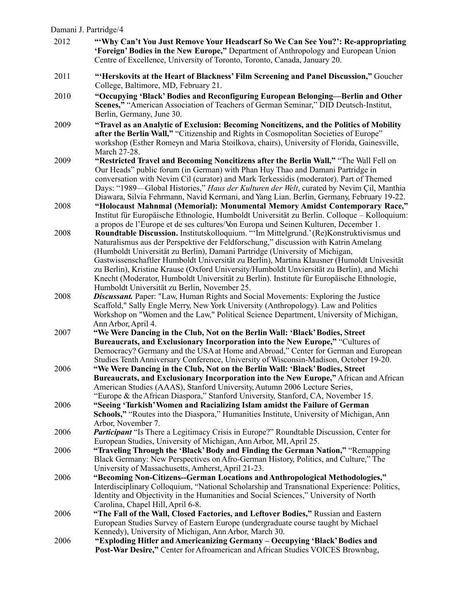| Damani J. Partridge/4 |                                                                                                                                                                                                                                                                                                                                                                                                                                                                                                                                                                                                      |
|-----------------------|------------------------------------------------------------------------------------------------------------------------------------------------------------------------------------------------------------------------------------------------------------------------------------------------------------------------------------------------------------------------------------------------------------------------------------------------------------------------------------------------------------------------------------------------------------------------------------------------------|
| 2012                  | "Why Can't You Just Remove Your Headscarf So We Can See You?": Re-appropriating<br><b>'Foreign' Bodies in the New Europe,"</b> Department of Anthropology and European Union<br>Centre of Excellence, University of Toronto, Toronto, Canada, January 20.                                                                                                                                                                                                                                                                                                                                            |
| 2011                  | "Herskovits at the Heart of Blackness' Film Screening and Panel Discussion," Goucher<br>College, Baltimore, MD, February 21.                                                                                                                                                                                                                                                                                                                                                                                                                                                                         |
| 2010                  | "Occupying 'Black' Bodies and Reconfiguring European Belonging-Berlin and Other<br>Scenes," "American Association of Teachers of German Seminar," DID Deutsch-Institut,<br>Berlin, Germany, June 30.                                                                                                                                                                                                                                                                                                                                                                                                 |
| 2009                  | "Travel as an Analytic of Exclusion: Becoming Noncitizens, and the Politics of Mobility<br>after the Berlin Wall," "Citizenship and Rights in Cosmopolitan Societies of Europe"<br>workshop (Esther Romeyn and Maria Stoilkova, chairs), University of Florida, Gainesville,<br>March 27-28.                                                                                                                                                                                                                                                                                                         |
| 2009                  | "Restricted Travel and Becoming Noncitizens after the Berlin Wall," "The Wall Fell on<br>Our Heads" public forum (in German) with Phan Huy Thao and Damani Partridge in<br>conversation with Nevim Cil (curator) and Mark Terkessidis (moderator). Part of Themed<br>Days: "1989—Global Histories," Haus der Kulturen der Welt, curated by Nevim Çil, Manthia<br>Diawara, Silvia Fehrmann, Navid Kermani, and Yang Lian. Berlin, Germany, February 19-22.                                                                                                                                            |
| 2008                  | "Holocaust Mahnmal (Memorial): Monumental Memory Amidst Contemporary Race,"<br>Institut für Europäische Ethnologie, Humboldt Universität zu Berlin. Colloque – Kolloquium:<br>a propos de l'Europe et de ses cultures/Von Europa und Seinen Kulturen, December 1.                                                                                                                                                                                                                                                                                                                                    |
| 2008                  | Roundtable Discussion. Institutskolloquium. "'Im Mittelgrund.' (Re)Konstruktivismus und<br>Naturalismus aus der Perspektive der Feldforschung," discussion with Katrin Amelang<br>(Humboldt Universität zu Berlin), Damani Partridge (University of Michigan,<br>Gastwissenschaftler Humboldt Universität zu Berlin), Martina Klausner (Humoldt Univesität<br>zu Berlin), Kristine Krause (Oxford University/Humboldt Unviersität zu Berlin), and Michi<br>Knecht (Moderator, Humboldt Universität zu Berlin). Institute für Europäische Ethnologie,<br>Humboldt Universität zu Berlin, November 25. |
| 2008                  | <b>Discussant.</b> Paper: "Law, Human Rights and Social Movements: Exploring the Justice<br>Scaffold," Sally Engle Merry, New York University (Anthropology). Law and Politics<br>Workshop on "Women and the Law," Political Science Department, University of Michigan,<br>Ann Arbor, April 4.                                                                                                                                                                                                                                                                                                      |
| 2007                  | "We Were Dancing in the Club, Not on the Berlin Wall: 'Black' Bodies, Street<br>Bureaucrats, and Exclusionary Incorporation into the New Europe," "Cultures of<br>Democracy? Germany and the USA at Home and Abroad," Center for German and European<br>Studies Tenth Anniversary Conference, University of Wisconsin-Madison, October 19-20.                                                                                                                                                                                                                                                        |
| 2006                  | "We Were Dancing in the Club, Not on the Berlin Wall: 'Black' Bodies, Street<br>Bureaucrats, and Exclusionary Incorporation into the New Europe," African and African<br>American Studies (AAAS), Stanford University, Autumn 2006 Lecture Series,<br>"Europe & the African Diaspora," Stanford University, Stanford, CA, November 15.                                                                                                                                                                                                                                                               |
| 2006                  | "Seeing 'Turkish' Women and Racializing Islam amidst the Failure of German<br>Schools," "Routes into the Diaspora," Humanities Institute, University of Michigan, Ann<br>Arbor, November 7.                                                                                                                                                                                                                                                                                                                                                                                                          |
| 2006                  | Participant "Is There a Legitimacy Crisis in Europe?" Roundtable Discussion, Center for<br>European Studies, University of Michigan, Ann Arbor, MI, April 25.                                                                                                                                                                                                                                                                                                                                                                                                                                        |
| 2006                  | "Traveling Through the 'Black' Body and Finding the German Nation," "Remapping<br>Black Germany: New Perspectives on Afro-German History, Politics, and Culture," The<br>University of Massachusetts, Amherst, April 21-23.                                                                                                                                                                                                                                                                                                                                                                          |
| 2006                  | "Becoming Non-Citizens--German Locations and Anthropological Methodologies,"<br>Interdisciplinary Colloquium, "National Scholarship and Transnational Experience: Politics,<br>Identity and Objectivity in the Humanities and Social Sciences," University of North<br>Carolina, Chapel Hill, April 6-8.                                                                                                                                                                                                                                                                                             |
| 2006                  | "The Fall of the Wall, Closed Factories, and Leftover Bodies," Russian and Eastern<br>European Studies Survey of Eastern Europe (undergraduate course taught by Michael<br>Kennedy), University of Michigan, Ann Arbor, March 30.                                                                                                                                                                                                                                                                                                                                                                    |
| 2006                  | "Exploding Hitler and Americanizing Germany - Occupying 'Black' Bodies and                                                                                                                                                                                                                                                                                                                                                                                                                                                                                                                           |

Post-War Desire," Center for Afroamerican and African Studies VOICES Brownbag,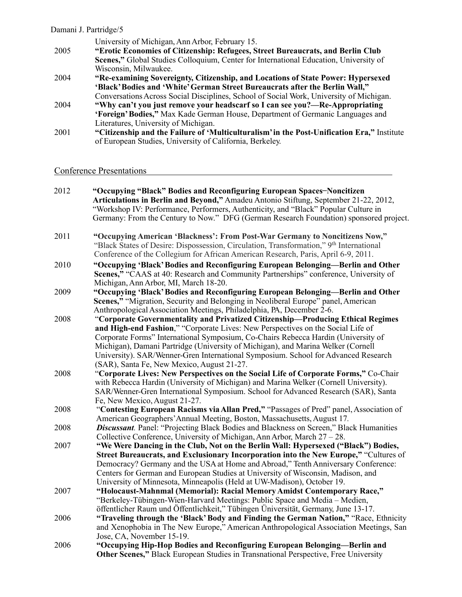|      | University of Michigan, Ann Arbor, February 15.                                            |
|------|--------------------------------------------------------------------------------------------|
| 2005 | "Erotic Economies of Citizenship: Refugees, Street Bureaucrats, and Berlin Club            |
|      | Scenes," Global Studies Colloquium, Center for International Education, University of      |
|      | Wisconsin, Milwaukee.                                                                      |
| 2004 | "Re-examining Sovereignty, Citizenship, and Locations of State Power: Hypersexed           |
|      | 'Black' Bodies and 'White' German Street Bureaucrats after the Berlin Wall,"               |
|      | Conversations Across Social Disciplines, School of Social Work, University of Michigan.    |
| 2004 | "Why can't you just remove your headscarf so I can see you?—Re-Appropriating               |
|      | 'Foreign' Bodies," Max Kade German House, Department of Germanic Languages and             |
|      | Literatures, University of Michigan.                                                       |
| 2001 | "Citizenship and the Failure of 'Multiculturalism' in the Post-Unification Era," Institute |
|      | of European Studies, University of California, Berkeley.                                   |
|      |                                                                                            |

# Conference Presentations

| 2012 | "Occupying "Black" Bodies and Reconfiguring European Spaces-Noncitizen<br>Articulations in Berlin and Beyond," Amadeu Antonio Stiftung, September 21-22, 2012,<br>"Workshop IV: Performance, Performers, Authenticity, and "Black" Popular Culture in<br>Germany: From the Century to Now." DFG (German Research Foundation) sponsored project.                                                                                                                                 |
|------|---------------------------------------------------------------------------------------------------------------------------------------------------------------------------------------------------------------------------------------------------------------------------------------------------------------------------------------------------------------------------------------------------------------------------------------------------------------------------------|
| 2011 | "Occupying American 'Blackness': From Post-War Germany to Noncitizens Now,"<br>"Black States of Desire: Dispossession, Circulation, Transformation," 9th International<br>Conference of the Collegium for African American Research, Paris, April 6-9, 2011.                                                                                                                                                                                                                    |
| 2010 | "Occupying 'Black' Bodies and Reconfiguring European Belonging-Berlin and Other<br>Scenes," "CAAS at 40: Research and Community Partnerships" conference, University of<br>Michigan, Ann Arbor, MI, March 18-20.                                                                                                                                                                                                                                                                |
| 2009 | "Occupying 'Black' Bodies and Reconfiguring European Belonging-Berlin and Other<br>Scenes," "Migration, Security and Belonging in Neoliberal Europe" panel, American<br>Anthropological Association Meetings, Philadelphia, PA, December 2-6.                                                                                                                                                                                                                                   |
| 2008 | "Corporate Governmentality and Privatized Citizenship—Producing Ethical Regimes<br>and High-end Fashion," "Corporate Lives: New Perspectives on the Social Life of<br>Corporate Forms" International Symposium, Co-Chairs Rebecca Hardin (University of<br>Michigan), Damani Partridge (University of Michigan), and Marina Welker (Cornell<br>University). SAR/Wenner-Gren International Symposium. School for Advanced Research<br>(SAR), Santa Fe, New Mexico, August 21-27. |
| 2008 | "Corporate Lives: New Perspectives on the Social Life of Corporate Forms," Co-Chair<br>with Rebecca Hardin (University of Michigan) and Marina Welker (Cornell University).<br>SAR/Wenner-Gren International Symposium. School for Advanced Research (SAR), Santa<br>Fe, New Mexico, August 21-27.                                                                                                                                                                              |
| 2008 | "Contesting European Racisms via Allan Pred," "Passages of Pred" panel, Association of<br>American Geographers' Annual Meeting, Boston, Massachusetts, August 17.                                                                                                                                                                                                                                                                                                               |
| 2008 | <b>Discussant</b> . Panel: "Projecting Black Bodies and Blackness on Screen," Black Humanities<br>Collective Conference, University of Michigan, Ann Arbor, March 27 – 28.                                                                                                                                                                                                                                                                                                      |
| 2007 | "We Were Dancing in the Club, Not on the Berlin Wall: Hypersexed ("Black") Bodies,<br>Street Bureaucrats, and Exclusionary Incorporation into the New Europe," "Cultures of<br>Democracy? Germany and the USA at Home and Abroad," Tenth Anniversary Conference:<br>Centers for German and European Studies at University of Wisconsin, Madison, and<br>University of Minnesota, Minneapolis (Held at UW-Madison), October 19.                                                  |
| 2007 | "Holocaust-Mahnmal (Memorial): Racial Memory Amidst Contemporary Race,"<br>"Berkeley-Tübingen-Wien-Harvard Meetings: Public Space and Media – Medien,<br>öffentlicher Raum und Öffentlichkeit," Tübingen Üniversität, Germany, June 13-17.                                                                                                                                                                                                                                      |
| 2006 | "Traveling through the 'Black' Body and Finding the German Nation," "Race, Ethnicity<br>and Xenophobia in The New Europe," American Anthropological Association Meetings, San<br>Jose, CA, November 15-19.                                                                                                                                                                                                                                                                      |
| 2006 | "Occupying Hip-Hop Bodies and Reconfiguring European Belonging-Berlin and<br><b>Other Scenes,"</b> Black European Studies in Transnational Perspective, Free University                                                                                                                                                                                                                                                                                                         |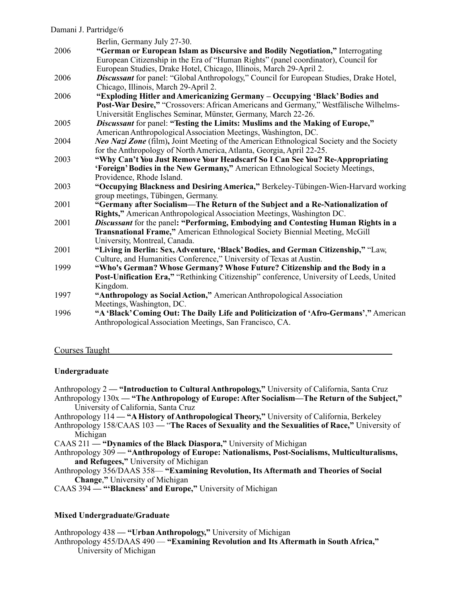|      | Berlin, Germany July 27-30.                                                                     |
|------|-------------------------------------------------------------------------------------------------|
| 2006 | "German or European Islam as Discursive and Bodily Negotiation," Interrogating                  |
|      | European Citizenship in the Era of "Human Rights" (panel coordinator), Council for              |
|      | European Studies, Drake Hotel, Chicago, Illinois, March 29-April 2.                             |
| 2006 | Discussant for panel: "Global Anthropology," Council for European Studies, Drake Hotel,         |
|      | Chicago, Illinois, March 29-April 2.                                                            |
| 2006 | "Exploding Hitler and Americanizing Germany - Occupying 'Black' Bodies and                      |
|      | Post-War Desire," "Crossovers: African Americans and Germany," Westfälische Wilhelms-           |
|      | Universität Englisches Seminar, Münster, Germany, March 22-26.                                  |
| 2005 | Discussant for panel: "Testing the Limits: Muslims and the Making of Europe,"                   |
|      | American Anthropological Association Meetings, Washington, DC.                                  |
| 2004 | <b>Neo Nazi Zone</b> (film), Joint Meeting of the American Ethnological Society and the Society |
|      | for the Anthropology of North America, Atlanta, Georgia, April 22-25.                           |
| 2003 | "Why Can't You Just Remove Your Headscarf So I Can See You? Re-Appropriating                    |
|      | 'Foreign' Bodies in the New Germany," American Ethnological Society Meetings,                   |
|      | Providence, Rhode Island.                                                                       |
| 2003 | "Occupying Blackness and Desiring America," Berkeley-Tübingen-Wien-Harvard working              |
|      | group meetings, Tübingen, Germany.                                                              |
| 2001 | "Germany after Socialism-The Return of the Subject and a Re-Nationalization of                  |
|      | Rights," American Anthropological Association Meetings, Washington DC.                          |
| 2001 | Discussant for the panel: "Performing, Embodying and Contesting Human Rights in a               |
|      | Transnational Frame," American Ethnological Society Biennial Meeting, McGill                    |
|      | University, Montreal, Canada.                                                                   |
| 2001 | "Living in Berlin: Sex, Adventure, 'Black' Bodies, and German Citizenship," "Law,               |
|      | Culture, and Humanities Conference," University of Texas at Austin.                             |
| 1999 | "Who's German? Whose Germany? Whose Future? Citizenship and the Body in a                       |
|      | Post-Unification Era," "Rethinking Citizenship" conference, University of Leeds, United         |
|      | Kingdom.                                                                                        |
| 1997 | "Anthropology as Social Action," American Anthropological Association                           |
|      | Meetings, Washington, DC.                                                                       |
| 1996 | "A 'Black' Coming Out: The Daily Life and Politicization of 'Afro-Germans'," American           |
|      | Anthropological Association Meetings, San Francisco, CA.                                        |
|      |                                                                                                 |

#### Courses Taught

#### **Undergraduate**

- Anthropology 2  **"Introduction to CulturalAnthropology,"** University of California, Santa Cruz Anthropology 130x **— "TheAnthropology of Europe:After Socialism—The Return of the Subject,"** University of California, Santa Cruz
- Anthropology 114 "A History of Anthropological Theory," University of California, Berkeley
- Anthropology 158/CAAS 103 "**The Races of Sexuality and the Sexualities of Race,"** University of Michigan
- CAAS 211  **"Dynamics of the Black Diaspora,"** University of Michigan
- Anthropology 309  **"Anthropology of Europe: Nationalisms, Post-Socialisms, Multiculturalisms, and Refugees,"** University of Michigan
- Anthropology 356/DAAS 358— **"Examining Revolution, Its Aftermath and Theories of Social Change**,**"** University of Michigan
- CAAS 394  **"'Blackness' and Europe,"** University of Michigan

#### **Mixed Undergraduate/Graduate**

Anthropology 438 **— "UrbanAnthropology,"** University of Michigan Anthropology 455/DAAS 490 — **"Examining Revolution and Its Aftermath in South Africa,"**  University of Michigan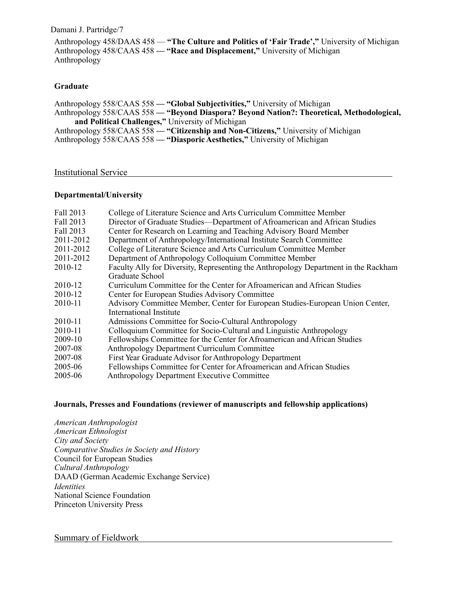Anthropology 458/DAAS 458 — **"The Culture and Politics of 'Fair Trade',"** University of Michigan Anthropology 458/CAAS 458 **— "Race and Displacement,"** University of Michigan Anthropology

#### **Graduate**

Anthropology 558/CAAS 558 **— "Global Subjectivities,"** University of Michigan Anthropology 558/CAAS 558 **— "Beyond Diaspora? Beyond Nation?: Theoretical, Methodological, and Political Challenges,"** University of Michigan Anthropology 558/CAAS 558 **— "Citizenship and Non-Citizens,"** University of Michigan Anthropology 558/CAAS 558 - "Diasporic Aesthetics," University of Michigan

#### Institutional Service

#### **Departmental/University**

| Fall 2013 | College of Literature Science and Arts Curriculum Committee Member                  |
|-----------|-------------------------------------------------------------------------------------|
| Fall 2013 | Director of Graduate Studies—Department of Afroamerican and African Studies         |
| Fall 2013 | Center for Research on Learning and Teaching Advisory Board Member                  |
| 2011-2012 | Department of Anthropology/International Institute Search Committee                 |
| 2011-2012 | College of Literature Science and Arts Curriculum Committee Member                  |
| 2011-2012 | Department of Anthropology Colloquium Committee Member                              |
| 2010-12   | Faculty Ally for Diversity, Representing the Anthropology Department in the Rackham |
|           | Graduate School                                                                     |
| 2010-12   | Curriculum Committee for the Center for Afroamerican and African Studies            |
| 2010-12   | Center for European Studies Advisory Committee                                      |
| 2010-11   | Advisory Committee Member, Center for European Studies-European Union Center,       |
|           | International Institute                                                             |
| 2010-11   | Admissions Committee for Socio-Cultural Anthropology                                |
| 2010-11   | Colloquium Committee for Socio-Cultural and Linguistic Anthropology                 |
| 2009-10   | Fellowships Committee for the Center for Afroamerican and African Studies           |
| 2007-08   | Anthropology Department Curriculum Committee                                        |
| 2007-08   | First Year Graduate Advisor for Anthropology Department                             |
| 2005-06   | Fellowships Committee for Center for Afroamerican and African Studies               |
| 2005-06   | Anthropology Department Executive Committee                                         |

#### **Journals, Presses and Foundations (reviewer of manuscripts and fellowship applications)**

*American Anthropologist American Ethnologist City and Society Comparative Studies in Society and History* Council for European Studies *Cultural Anthropology* DAAD (German Academic Exchange Service) *Identities* National Science Foundation Princeton University Press

#### Summary of Fieldwork